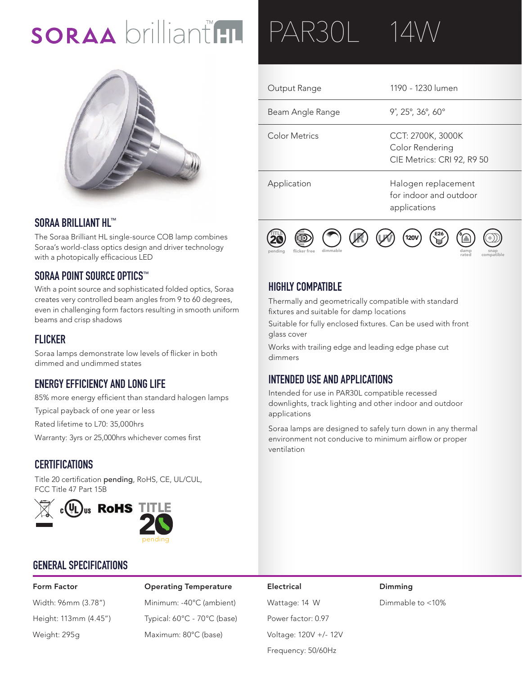# SORAA brilliant HL



#### **SORAA BRILLIANT HL™**

The Soraa Brilliant HL single-source COB lamp combines Soraa's world-class optics design and driver technology with a photopically efficacious LED

#### **SORAA POINT SOURCE OPTICS™**

With a point source and sophisticated folded optics, Soraa creates very controlled beam angles from 9 to 60 degrees, even in challenging form factors resulting in smooth uniform beams and crisp shadows

#### **FLICKER**

Soraa lamps demonstrate low levels of flicker in both dimmed and undimmed states

## **ENERGY EFFICIENCY AND LONG LIFE**

85% more energy efficient than standard halogen lamps

Typical payback of one year or less

Rated lifetime to L70: 35,000hrs

Warranty: 3yrs or 25,000hrs whichever comes first

#### **CERTIFICATIONS**

Title 20 certification pending, RoHS, CE, UL/CUL, FCC Title 47 Part 15B



#### **GENERAL SPECIFICATIONS**

Form Factor **Electrical** Coperating Temperature **Electrical** Dimming Width: 96mm (3.78") Minimum: -40°C (ambient) Wattage: 14 W Dimmable to <10% Height: 113mm (4.45") Typical: 60°C - 70°C (base) Power factor: 0.97 Weight: 295g Maximum: 80°C (base) Voltage: 120V +/- 12V

# PAR30L 14

| Output Range     | 1190 - 1230 lumen                                                  |
|------------------|--------------------------------------------------------------------|
| Beam Angle Range | $9^{\circ}$ , 25°, 36°, 60 $^{\circ}$                              |
| Color Metrics    | CCT: 2700K, 3000K<br>Color Rendering<br>CIE Metrics: CRI 92, R9 50 |
| Application      | Halogen replacement<br>for indoor and outdoor<br>applications      |



### **HIGHLY COMPATIBLE**

Thermally and geometrically compatible with standard 20 **T I T L E TITLE** fixtures and suitable for damp locations

Suitable for fully enclosed fixtures. Can be used with front **AC AC** glass cover

Works with trailing edge and leading edge phase cut dimmers

#### **INTENDED USE AND APPLICATIONS**

Intended for use in PAR30L compatible recessed downlights, track lighting and other indoor and outdoor applications

Soraa lamps are designed to safely turn down in any thermal environment not conducive to minimum airflow or proper ventilation

Frequency: 50/60Hz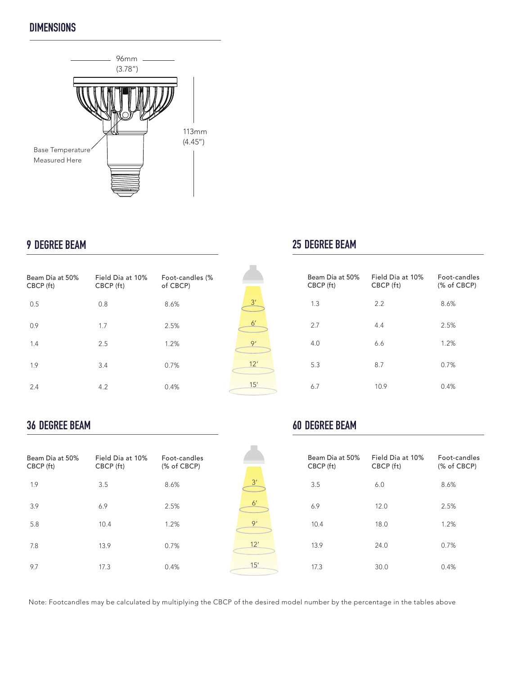## **DIMENSIONS**



### **9 DEGREE BEAM**

| Beam Dia at 50%<br>CBCP (ft) | Field Dia at 10%<br>CBCP (ft) | Foot-candles (%<br>of CBCP) |  |
|------------------------------|-------------------------------|-----------------------------|--|
| 0.5                          | 0.8                           | 8.6%                        |  |
| 0.9                          | 1.7                           | 2.5%                        |  |
| 1.4                          | 2.5                           | 1.2%                        |  |
| 1.9                          | 3.4                           | 0.7%                        |  |
| 2.4                          | 4.2                           | 0.4%                        |  |

# **25 DEGREE BEAM**

| Beam Dia at 50%<br>CBCP (ft) | Field Dia at 10%<br>CBCP (ft) | Foot-candles<br>(% of CBCP) |
|------------------------------|-------------------------------|-----------------------------|
| 1.3                          | 2.2                           | 8.6%                        |
| 2.7                          | 4.4                           | 2.5%                        |
| 4.0                          | 6.6                           | 1.2%                        |
| 5.3                          | 8.7                           | 0.7%                        |
| 6.7                          | 10.9                          | 0.4%                        |

## **36 DEGREE BEAM**

| Beam Dia at 50%<br>CBCP (ft) | Field Dia at 10%<br>CBCP (ft) | Foot-candles<br>(% of CBCP) |
|------------------------------|-------------------------------|-----------------------------|
| 1.9                          | 3.5                           | 8.6%                        |
| 3.9                          | 6.9                           | 2.5%                        |
| 5.8                          | 10.4                          | 1.2%                        |
| 7.8                          | 13.9                          | 0.7%                        |
| 9.7                          | 17.3                          | 0.4%                        |

# **60 DEGREE BEAM**

| Beam Dia at 50%<br>CBCP (ft) | Field Dia at 10%<br>CBCP (ft) | Eoot-candles<br>(% of CBCP) |
|------------------------------|-------------------------------|-----------------------------|
| 3.5                          | 6.0                           | 8.6%                        |
| 6.9                          | 12.0                          | 2.5%                        |
| 10.4                         | 18.0                          | 1.2%                        |
| 13.9                         | 24.0                          | 0.7%                        |
| 17.3                         | 30.0                          | 0.4%                        |

Note: Footcandles may be calculated by multiplying the CBCP of the desired model number by the percentage in the tables above

 $\frac{3'}{2}$ 

 $6'$ 

9'

12'

15'

 $\frac{3'}{2}$ 6'

9'

12'

15'